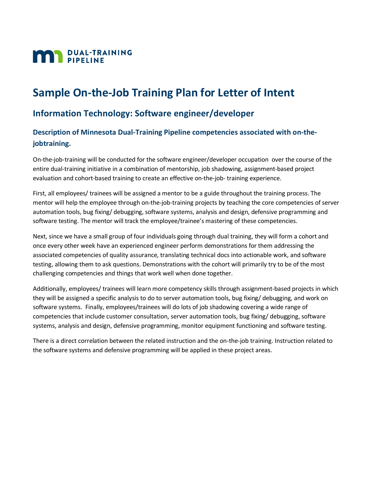

# **Sample On-the-Job Training Plan for Letter of Intent**

## **Information Technology: Software engineer/developer**

### **Description of Minnesota Dual-Training Pipeline competencies associated with on-thejobtraining.**

On-the-job-training will be conducted for the software engineer/developer occupation over the course of the entire dual-training initiative in a combination of mentorship, job shadowing, assignment-based project evaluation and cohort-based training to create an effective on-the-job- training experience.

First, all employees/ trainees will be assigned a mentor to be a guide throughout the training process. The mentor will help the employee through on-the-job-training projects by teaching the core competencies of server automation tools, bug fixing/ debugging, software systems, analysis and design, defensive programming and software testing. The mentor will track the employee/trainee's mastering of these competencies.

Next, since we have a small group of four individuals going through dual training, they will form a cohort and once every other week have an experienced engineer perform demonstrations for them addressing the associated competencies of quality assurance, translating technical docs into actionable work, and software testing, allowing them to ask questions. Demonstrations with the cohort will primarily try to be of the most challenging competencies and things that work well when done together.

Additionally, employees/ trainees will learn more competency skills through assignment-based projects in which they will be assigned a specific analysis to do to server automation tools, bug fixing/ debugging, and work on software systems. Finally, employees/trainees will do lots of job shadowing covering a wide range of competencies that include customer consultation, server automation tools, bug fixing/ debugging, software systems, analysis and design, defensive programming, monitor equipment functioning and software testing.

There is a direct correlation between the related instruction and the on-the-job training. Instruction related to the software systems and defensive programming will be applied in these project areas.